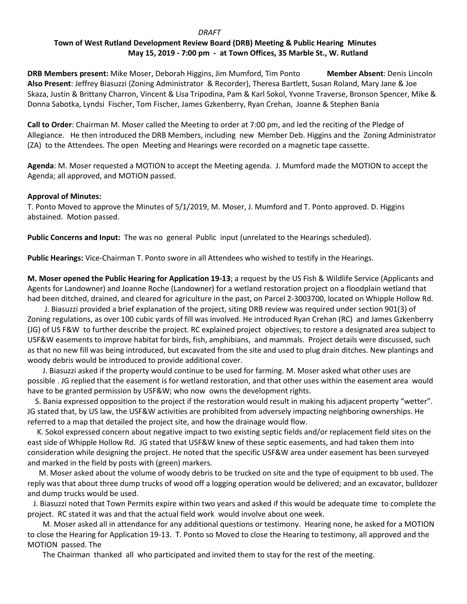# **DRAFT Town of West Rutland Development Review Board (DRB) Meeting & Public Hearing Minutes May 15, 2019 - 7:00 pm - at Town Offices, 35 Marble St., W. Rutland**

**DRB Members present:** Mike Moser, Deborah Higgins, Jim Mumford, Tim Ponto **Member Absent**: Denis Lincoln **Also Present**: Jeffrey Biasuzzi (Zoning Administrator & Recorder), Theresa Bartlett, Susan Roland, Mary Jane & Joe Skaza, Justin & Brittany Charron, Vincent & Lisa Tripodina, Pam & Karl Sokol, Yvonne Traverse, Bronson Spencer, Mike & Donna Sabotka, Lyndsi Fischer, Tom Fischer, James Gzkenberry, Ryan Crehan, Joanne & Stephen Bania

**Call to Order**: Chairman M. Moser called the Meeting to order at 7:00 pm, and led the reciting of the Pledge of Allegiance. He then introduced the DRB Members, including new Member Deb. Higgins and the Zoning Administrator (ZA) to the Attendees. The open Meeting and Hearings were recorded on a magnetic tape cassette.

**Agenda**: M. Moser requested a MOTION to accept the Meeting agenda. J. Mumford made the MOTION to accept the Agenda; all approved, and MOTION passed.

### **Approval of Minutes:**

T. Ponto Moved to approve the Minutes of 5/1/2019, M. Moser, J. Mumford and T. Ponto approved. D. Higgins abstained. Motion passed.

**Public Concerns and Input:** The was no general Public input (unrelated to the Hearings scheduled).

**Public Hearings:** Vice-Chairman T. Ponto swore in all Attendees who wished to testify in the Hearings.

**M. Moser opened the Public Hearing for Application 19-13**; a request by the US Fish & Wildlife Service (Applicants and Agents for Landowner) and Joanne Roche (Landowner) for a wetland restoration project on a floodplain wetland that had been ditched, drained, and cleared for agriculture in the past, on Parcel 2-3003700, located on Whipple Hollow Rd.

 J. Biasuzzi provided a brief explanation of the project, siting DRB review was required under section 901(3) of Zoning regulations, as over 100 cubic yards of fill was involved. He introduced Ryan Crehan (RC) and James Gzkenberry (JG) of US F&W to further describe the project. RC explained project objectives; to restore a designated area subject to USF&W easements to improve habitat for birds, fish, amphibians, and mammals. Project details were discussed, such as that no new fill was being introduced, but excavated from the site and used to plug drain ditches. New plantings and woody debris would be introduced to provide additional cover.

 J. Biasuzzi asked if the property would continue to be used for farming. M. Moser asked what other uses are possible . JG replied that the easement is for wetland restoration, and that other uses within the easement area would have to be granted permission by USF&W; who now owns the development rights.

 S. Bania expressed opposition to the project if the restoration would result in making his adjacent property "wetter". JG stated that, by US law, the USF&W activities are prohibited from adversely impacting neighboring ownerships. He referred to a map that detailed the project site, and how the drainage would flow.

 K. Sokol expressed concern about negative impact to two existing septic fields and/or replacement field sites on the east side of Whipple Hollow Rd. JG stated that USF&W knew of these septic easements, and had taken them into consideration while designing the project. He noted that the specific USF&W area under easement has been surveyed and marked in the field by posts with (green) markers.

 M. Moser asked about the volume of woody debris to be trucked on site and the type of equipment to bb used. The reply was that about three dump trucks of wood off a logging operation would be delivered; and an excavator, bulldozer and dump trucks would be used.

 J. Biasuzzi noted that Town Permits expire within two years and asked if this would be adequate time to complete the project. RC stated it was and that the actual field work would involve about one week.

 M. Moser asked all in attendance for any additional questions or testimony. Hearing none, he asked for a MOTION to close the Hearing for Application 19-13. T. Ponto so Moved to close the Hearing to testimony, all approved and the MOTION passed. The

The Chairman thanked all who participated and invited them to stay for the rest of the meeting.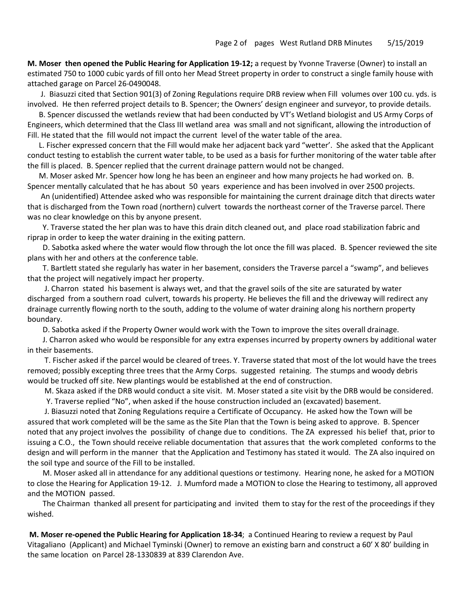**M. Moser then opened the Public Hearing for Application 19-12;** a request by Yvonne Traverse (Owner) to install an estimated 750 to 1000 cubic yards of fill onto her Mead Street property in order to construct a single family house with attached garage on Parcel 26-0490048.

 J. Biasuzzi cited that Section 901(3) of Zoning Regulations require DRB review when Fill volumes over 100 cu. yds. is involved. He then referred project details to B. Spencer; the Owners' design engineer and surveyor, to provide details.

 B. Spencer discussed the wetlands review that had been conducted by VT's Wetland biologist and US Army Corps of Engineers, which determined that the Class III wetland area was small and not significant, allowing the introduction of Fill. He stated that the fill would not impact the current level of the water table of the area.

 L. Fischer expressed concern that the Fill would make her adjacent back yard "wetter'. She asked that the Applicant conduct testing to establish the current water table, to be used as a basis for further monitoring of the water table after the fill is placed. B. Spencer replied that the current drainage pattern would not be changed.

 M. Moser asked Mr. Spencer how long he has been an engineer and how many projects he had worked on. B. Spencer mentally calculated that he has about 50 years experience and has been involved in over 2500 projects.

 An (unidentified) Attendee asked who was responsible for maintaining the current drainage ditch that directs water that is discharged from the Town road (northern) culvert towards the northeast corner of the Traverse parcel. There was no clear knowledge on this by anyone present.

 Y. Traverse stated the her plan was to have this drain ditch cleaned out, and place road stabilization fabric and riprap in order to keep the water draining in the exiting pattern.

 D. Sabotka asked where the water would flow through the lot once the fill was placed. B. Spencer reviewed the site plans with her and others at the conference table.

 T. Bartlett stated she regularly has water in her basement, considers the Traverse parcel a "swamp", and believes that the project will negatively impact her property.

 J. Charron stated his basement is always wet, and that the gravel soils of the site are saturated by water discharged from a southern road culvert, towards his property. He believes the fill and the driveway will redirect any drainage currently flowing north to the south, adding to the volume of water draining along his northern property boundary.

D. Sabotka asked if the Property Owner would work with the Town to improve the sites overall drainage.

 J. Charron asked who would be responsible for any extra expenses incurred by property owners by additional water in their basements.

 T. Fischer asked if the parcel would be cleared of trees. Y. Traverse stated that most of the lot would have the trees removed; possibly excepting three trees that the Army Corps. suggested retaining. The stumps and woody debris would be trucked off site. New plantings would be established at the end of construction.

M. Skaza asked if the DRB would conduct a site visit. M. Moser stated a site visit by the DRB would be considered.

Y. Traverse replied "No", when asked if the house construction included an (excavated) basement.

 J. Biasuzzi noted that Zoning Regulations require a Certificate of Occupancy. He asked how the Town will be assured that work completed will be the same as the Site Plan that the Town is being asked to approve. B. Spencer noted that any project involves the possibility of change due to conditions. The ZA expressed his belief that, prior to issuing a C.O., the Town should receive reliable documentation that assures that the work completed conforms to the design and will perform in the manner that the Application and Testimony has stated it would. The ZA also inquired on the soil type and source of the Fill to be installed.

 M. Moser asked all in attendance for any additional questions or testimony. Hearing none, he asked for a MOTION to close the Hearing for Application 19-12. J. Mumford made a MOTION to close the Hearing to testimony, all approved and the MOTION passed.

 The Chairman thanked all present for participating and invited them to stay for the rest of the proceedings if they wished.

**M. Moser re-opened the Public Hearing for Application 18-34**; a Continued Hearing to review a request by Paul Vitagaliano (Applicant) and Michael Tyminski (Owner) to remove an existing barn and construct a 60' X 80' building in the same location on Parcel 28-1330839 at 839 Clarendon Ave.